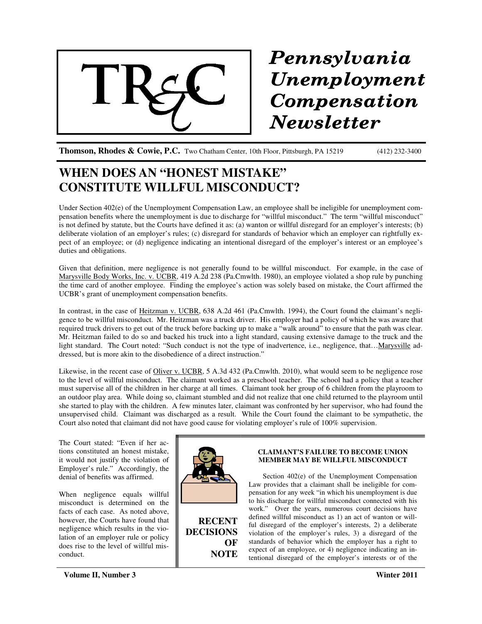

# Pennsylvania Unemployment Compensation **Newsletter**

**Thomson, Rhodes & Cowie, P.C.** Two Chatham Center, 10th Floor, Pittsburgh, PA 15219 (412) 232-3400

## **WHEN DOES AN "HONEST MISTAKE" CONSTITUTE WILLFUL MISCONDUCT?**

Under Section 402(e) of the Unemployment Compensation Law, an employee shall be ineligible for unemployment compensation benefits where the unemployment is due to discharge for "willful misconduct." The term "willful misconduct" is not defined by statute, but the Courts have defined it as: (a) wanton or willful disregard for an employer's interests; (b) deliberate violation of an employer's rules; (c) disregard for standards of behavior which an employer can rightfully expect of an employee; or (d) negligence indicating an intentional disregard of the employer's interest or an employee's duties and obligations.

Given that definition, mere negligence is not generally found to be willful misconduct. For example, in the case of Marysville Body Works, Inc. v. UCBR, 419 A.2d 238 (Pa.Cmwlth. 1980), an employee violated a shop rule by punching the time card of another employee. Finding the employee's action was solely based on mistake, the Court affirmed the UCBR's grant of unemployment compensation benefits.

In contrast, in the case of Heitzman v. UCBR, 638 A.2d 461 (Pa.Cmwlth. 1994), the Court found the claimant's negligence to be willful misconduct. Mr. Heitzman was a truck driver. His employer had a policy of which he was aware that required truck drivers to get out of the truck before backing up to make a "walk around" to ensure that the path was clear. Mr. Heitzman failed to do so and backed his truck into a light standard, causing extensive damage to the truck and the light standard. The Court noted: "Such conduct is not the type of inadvertence, i.e., negligence, that…Marysville addressed, but is more akin to the disobedience of a direct instruction."

Likewise, in the recent case of Oliver v. UCBR, 5 A.3d 432 (Pa.Cmwlth. 2010), what would seem to be negligence rose to the level of willful misconduct. The claimant worked as a preschool teacher. The school had a policy that a teacher must supervise all of the children in her charge at all times. Claimant took her group of 6 children from the playroom to an outdoor play area. While doing so, claimant stumbled and did not realize that one child returned to the playroom until she started to play with the children. A few minutes later, claimant was confronted by her supervisor, who had found the unsupervised child. Claimant was discharged as a result. While the Court found the claimant to be sympathetic, the Court also noted that claimant did not have good cause for violating employer's rule of 100% supervision.

The Court stated: "Even if her actions constituted an honest mistake, it would not justify the violation of Employer's rule." Accordingly, the denial of benefits was affirmed.

When negligence equals willful misconduct is determined on the facts of each case. As noted above, however, the Courts have found that negligence which results in the violation of an employer rule or policy does rise to the level of willful misconduct.



**RECENT DECISIONS OF NOTE**

### **CLAIMANT'S FAILURE TO BECOME UNION MEMBER MAY BE WILLFUL MISCONDUCT**

Section 402(e) of the Unemployment Compensation Law provides that a claimant shall be ineligible for compensation for any week "in which his unemployment is due to his discharge for willful misconduct connected with his work." Over the years, numerous court decisions have defined willful misconduct as 1) an act of wanton or willful disregard of the employer's interests, 2) a deliberate violation of the employer's rules, 3) a disregard of the standards of behavior which the employer has a right to expect of an employee, or 4) negligence indicating an intentional disregard of the employer's interests or of the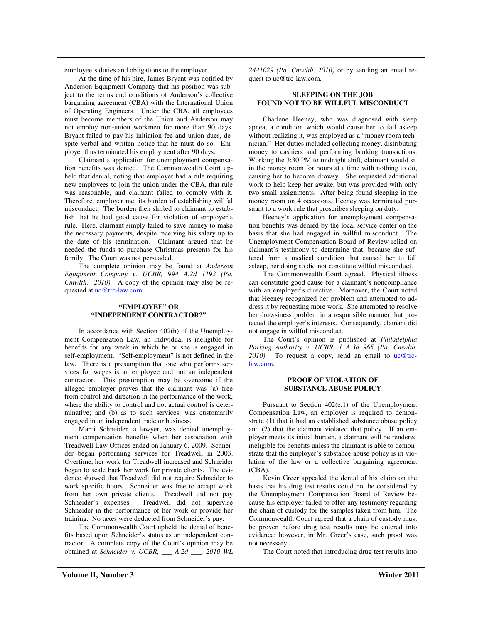employee's duties and obligations to the employer.

At the time of his hire, James Bryant was notified by Anderson Equipment Company that his position was subject to the terms and conditions of Anderson's collective bargaining agreement (CBA) with the International Union of Operating Engineers. Under the CBA, all employees must become members of the Union and Anderson may not employ non-union workmen for more than 90 days. Bryant failed to pay his initiation fee and union dues, despite verbal and written notice that he must do so. Employer thus terminated his employment after 90 days.

Claimant's application for unemployment compensation benefits was denied. The Commonwealth Court upheld that denial, noting that employer had a rule requiring new employees to join the union under the CBA, that rule was reasonable, and claimant failed to comply with it. Therefore, employer met its burden of establishing willful misconduct. The burden then shifted to claimant to establish that he had good cause for violation of employer's rule. Here, claimant simply failed to save money to make the necessary payments, despite receiving his salary up to the date of his termination. Claimant argued that he needed the funds to purchase Christmas presents for his family. The Court was not persuaded.

The complete opinion may be found at *Anderson Equipment Company v. UCBR, 994 A.2d 1192 (Pa. Cmwlth. 2010).* A copy of the opinion may also be requested at  $uc@trc-law.com$ .

#### **"EMPLOYEE" OR "INDEPENDENT CONTRACTOR?"**

In accordance with Section 402(h) of the Unemployment Compensation Law, an individual is ineligible for benefits for any week in which he or she is engaged in self-employment. "Self-employment" is not defined in the law. There is a presumption that one who performs services for wages is an employee and not an independent contractor. This presumption may be overcome if the alleged employer proves that the claimant was (a) free from control and direction in the performance of the work, where the ability to control and not actual control is determinative; and (b) as to such services, was customarily engaged in an independent trade or business.

Marci Schneider, a lawyer, was denied unemployment compensation benefits when her association with Treadwell Law Offices ended on January 6, 2009. Schneider began performing services for Treadwell in 2003. Overtime, her work for Treadwell increased and Schneider began to scale back her work for private clients. The evidence showed that Treadwell did not require Schneider to work specific hours. Schneider was free to accept work from her own private clients. Treadwell did not pay Schneider's expenses. Treadwell did not supervise Schneider in the performance of her work or provide her training. No taxes were deducted from Schneider's pay.

The Commonwealth Court upheld the denial of benefits based upon Schneider's status as an independent contractor. A complete copy of the Court's opinion may be obtained at *Schneider v. UCBR*, *\_\_\_ A.2d \_\_\_, 2010 WL* *2441029 (Pa. Cmwlth. 2010)* or by sending an email request to uc@trc-law.com*.*

#### **SLEEPING ON THE JOB FOUND NOT TO BE WILLFUL MISCONDUCT**

Charlene Heeney, who was diagnosed with sleep apnea, a condition which would cause her to fall asleep without realizing it, was employed as a "money room technician." Her duties included collecting money, distributing money to cashiers and performing banking transactions. Working the 3:30 PM to midnight shift, claimant would sit in the money room for hours at a time with nothing to do, causing her to become drowsy. She requested additional work to help keep her awake, but was provided with only two small assignments. After being found sleeping in the money room on 4 occasions, Heeney was terminated pursuant to a work rule that proscribes sleeping on duty.

Heeney's application for unemployment compensation benefits was denied by the local service center on the basis that she had engaged in willful misconduct. The Unemployment Compensation Board of Review relied on claimant's testimony to determine that, because she suffered from a medical condition that caused her to fall asleep, her doing so did not constitute willful misconduct.

The Commonwealth Court agreed. Physical illness can constitute good cause for a claimant's noncompliance with an employer's directive. Moreover, the Court noted that Heeney recognized her problem and attempted to address it by requesting more work. She attempted to resolve her drowsiness problem in a responsible manner that protected the employer's interests. Consequently, clamant did not engage in willful misconduct.

The Court's opinion is published at *Philadelphia Parking Authority v. UCBR, 1 A.3d 965 (Pa. Cmwlth.* 2010). To request a copy, send an email to **uc@trc**law.com.

#### **PROOF OF VIOLATION OF SUBSTANCE ABUSE POLICY**

Pursuant to Section 402(e.1) of the Unemployment Compensation Law, an employer is required to demonstrate (1) that it had an established substance abuse policy and (2) that the claimant violated that policy. If an employer meets its initial burden, a claimant will be rendered ineligible for benefits unless the claimant is able to demonstrate that the employer's substance abuse policy is in violation of the law or a collective bargaining agreement (CBA).

Kevin Greer appealed the denial of his claim on the basis that his drug test results could not be considered by the Unemployment Compensation Board of Review because his employer failed to offer any testimony regarding the chain of custody for the samples taken from him. The Commonwealth Court agreed that a chain of custody must be proven before drug test results may be entered into evidence; however, in Mr. Greer's case, such proof was not necessary.

The Court noted that introducing drug test results into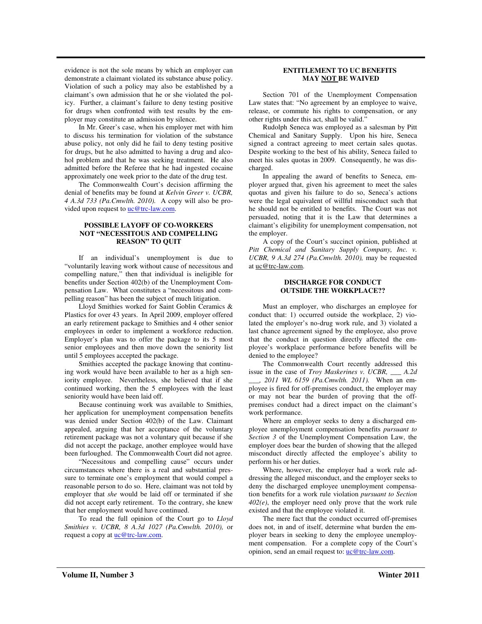evidence is not the sole means by which an employer can demonstrate a claimant violated its substance abuse policy. Violation of such a policy may also be established by a claimant's own admission that he or she violated the policy. Further, a claimant's failure to deny testing positive for drugs when confronted with test results by the employer may constitute an admission by silence.

In Mr. Greer's case, when his employer met with him to discuss his termination for violation of the substance abuse policy, not only did he fail to deny testing positive for drugs, but he also admitted to having a drug and alcohol problem and that he was seeking treatment. He also admitted before the Referee that he had ingested cocaine approximately one week prior to the date of the drug test.

The Commonwealth Court's decision affirming the denial of benefits may be found at *Kelvin Greer v. UCBR, 4 A.3d 733 (Pa.Cmwlth. 2010).* A copy will also be provided upon request to uc@trc-law.com.

#### **POSSIBLE LAYOFF OF CO-WORKERS NOT "NECESSITOUS AND COMPELLING REASON" TO QUIT**

If an individual's unemployment is due to "voluntarily leaving work without cause of necessitous and compelling nature," then that individual is ineligible for benefits under Section 402(b) of the Unemployment Compensation Law. What constitutes a "necessitous and compelling reason" has been the subject of much litigation.

Lloyd Smithies worked for Saint Goblin Ceramics & Plastics for over 43 years. In April 2009, employer offered an early retirement package to Smithies and 4 other senior employees in order to implement a workforce reduction. Employer's plan was to offer the package to its 5 most senior employees and then move down the seniority list until 5 employees accepted the package.

Smithies accepted the package knowing that continuing work would have been available to her as a high seniority employee. Nevertheless, she believed that if she continued working, then the 5 employees with the least seniority would have been laid off.

Because continuing work was available to Smithies, her application for unemployment compensation benefits was denied under Section 402(b) of the Law. Claimant appealed, arguing that her acceptance of the voluntary retirement package was not a voluntary quit because if she did not accept the package, another employee would have been furloughed. The Commonwealth Court did not agree.

"Necessitous and compelling cause" occurs under circumstances where there is a real and substantial pressure to terminate one's employment that would compel a reasonable person to do so. Here, claimant was not told by employer that *she* would be laid off or terminated if she did not accept early retirement. To the contrary, she knew that her employment would have continued.

To read the full opinion of the Court go to *Lloyd Smithies v. UCBR, 8 A.3d 1027 (Pa.Cmwlth. 2010),* or request a copy at  $\frac{uc@trc-law.com}{uc@trc-law.com}$ .

#### **ENTITLEMENT TO UC BENEFITS MAY NOT BE WAIVED**

Section 701 of the Unemployment Compensation Law states that: "No agreement by an employee to waive, release, or commute his rights to compensation, or any other rights under this act, shall be valid."

Rudolph Seneca was employed as a salesman by Pitt Chemical and Sanitary Supply. Upon his hire, Seneca signed a contract agreeing to meet certain sales quotas. Despite working to the best of his ability, Seneca failed to meet his sales quotas in 2009. Consequently, he was discharged.

In appealing the award of benefits to Seneca, employer argued that, given his agreement to meet the sales quotas and given his failure to do so, Seneca's actions were the legal equivalent of willful misconduct such that he should not be entitled to benefits. The Court was not persuaded, noting that it is the Law that determines a claimant's eligibility for unemployment compensation, not the employer.

A copy of the Court's succinct opinion, published at *Pitt Chemical and Sanitary Supply Company, Inc. v. UCBR, 9 A.3d 274 (Pa.Cmwlth. 2010),* may be requested at uc@trc-law.com.

#### **DISCHARGE FOR CONDUCT OUTSIDE THE WORKPLACE??**

Must an employer, who discharges an employee for conduct that: 1) occurred outside the workplace, 2) violated the employer's no-drug work rule, and 3) violated a last chance agreement signed by the employee, also prove that the conduct in question directly affected the employee's workplace performance before benefits will be denied to the employee?

The Commonwealth Court recently addressed this issue in the case of *Troy Maskerines v. UCBR, \_\_\_ A.2d \_\_\_, 2011 WL 6159 (Pa.Cmwlth. 2011).* When an employee is fired for off-premises conduct, the employer may or may not bear the burden of proving that the offpremises conduct had a direct impact on the claimant's work performance.

Where an employer seeks to deny a discharged employee unemployment compensation benefits *pursuant to Section 3* of the Unemployment Compensation Law, the employer does bear the burden of showing that the alleged misconduct directly affected the employee's ability to perform his or her duties.

Where, however, the employer had a work rule addressing the alleged misconduct, and the employer seeks to deny the discharged employee unemployment compensation benefits for a work rule violation *pursuant to Section 402(e)*, the employer need only prove that the work rule existed and that the employee violated it.

The mere fact that the conduct occurred off-premises does not, in and of itself, determine what burden the employer bears in seeking to deny the employee unemployment compensation. For a complete copy of the Court's opinion, send an email request to: uc@trc-law.com.